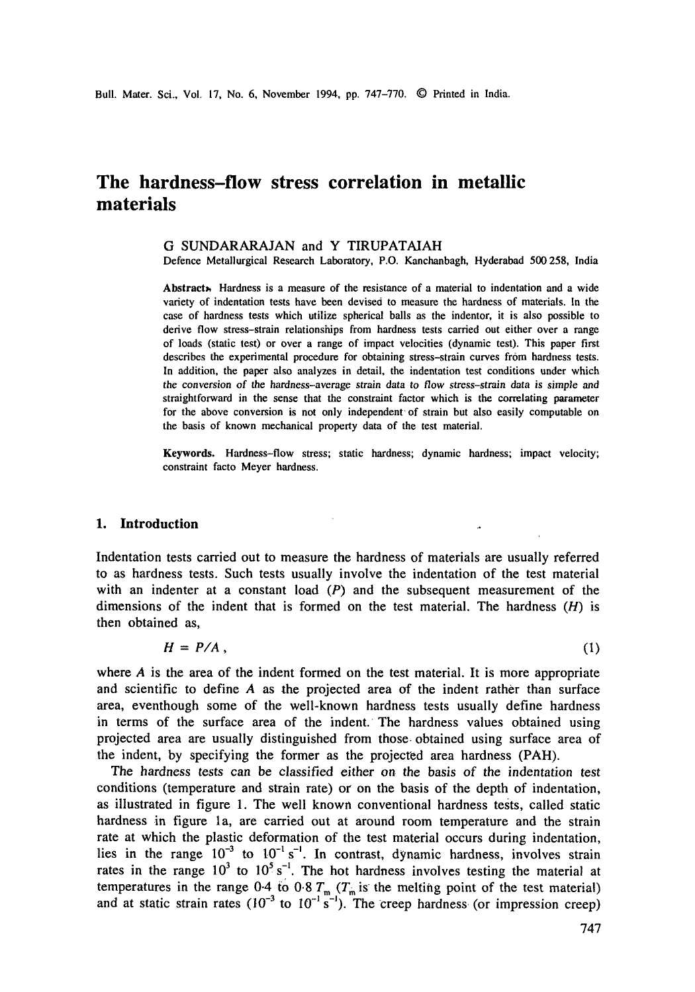# **The hardness-flow stress correlation in metallic materials**

#### G SUNDARARAJAN and Y TIRUPATAIAH

Defence Metallurgical Research Laboratory, P.O. Kanchanbagh, Hyderabad 500258, India

Abstract<sub>\*</sub> Hardness is a measure of the resistance of a material to indentation and a wide variety of indentation tests have been devised to measure the hardness of materials. In the case of hardness tests which utilize spherical bails as the indentor, it is also possible to derive flow stress-strain relationships from hardness tests carried out either over a range of loads (static test) or over a range of impact velocities (dynamic test). This paper first describes the experimental procedure for obtaining stress-strain curves from hardness tests. In addition, the paper also analyzes in detail, the indentation test conditions under which the conversion of the hardness-average strain data to flow stress-strain data is simple and straightforward in the sense that the constraint factor which is the correlating parameter for the above conversion is not only independent of strain but also easily computable on the basis of known mechanical property data of the test material.

Keywords. Hardness-flow stress; static hardness; dynamic hardness; impact velocity; constraint facto Meyer hardness.

## **I. Introduction**

Indentation tests carried out to measure the hardness of materials are usually referred to as hardness tests. Such tests usually involve the indentation of the test material with an indenter at a constant load  $(P)$  and the subsequent measurement of the dimensions of the indent that is formed on the test material. The hardness  $(H)$  is then obtained as,

$$
H = P/A \tag{1}
$$

where  $A$  is the area of the indent formed on the test material. It is more appropriate and scientific to define A as the projected area of the indent rather than surface area, eventhough some of the well-known hardness tests usually define hardness in terms of the surface area of the indent. The hardness values obtained using projected area are usually distinguished from those, obtained using surface area of the indent, by specifying the former as the projected area hardness (PAH).

The hardness tests can be classified either on the basis of the indentation test conditions (temperature and strain rate) or on the basis of the depth of indentation, as illustrated in figure 1. The well known conventional hardness tests, called static hardness in figure la, are carried out at around room temperature and the strain rate at which the plastic deformation of the test material occurs during indentation, lies in the range  $10^{-3}$  to  $10^{-1}$  s<sup>-1</sup>. In contrast, dynamic hardness, involves strain rates in the range  $10^3$  to  $10^5$  s<sup>-1</sup>. The hot hardness involves testing the material at temperatures in the range 0-4 to 0.8  $T_m$  ( $T_m$  is the melting point of the test material) and at static strain rates  $(10^{-3}$  to  $10^{-1}$  s<sup>-1</sup>). The creep hardness (or impression creep)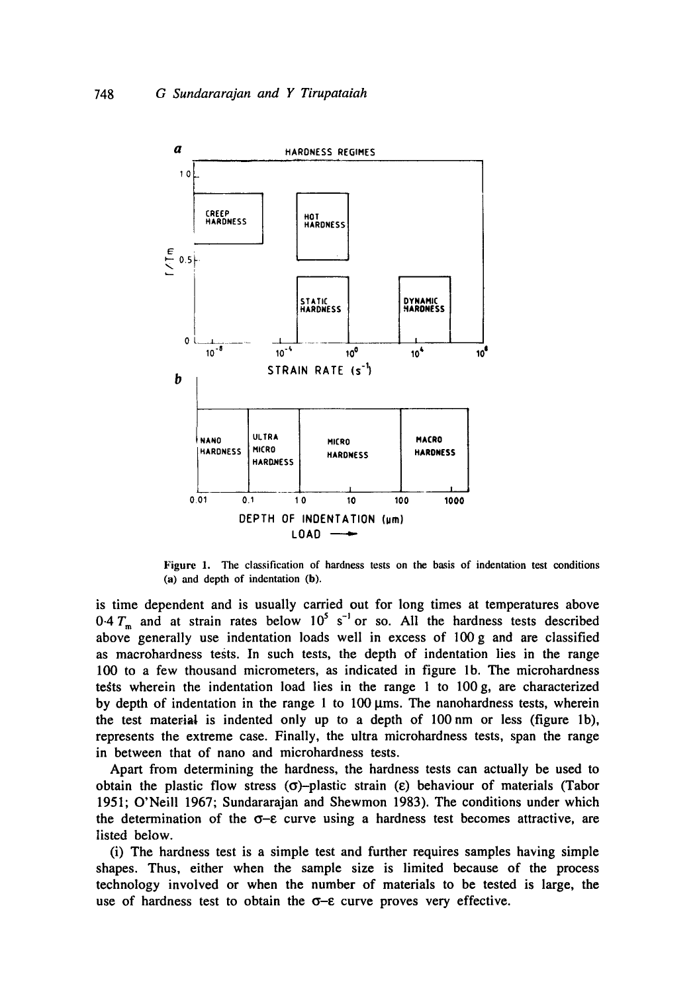

Figure 1. The classification of hardness tests on the basis of indentation test conditions (a) and depth of indentation (b).

is time dependent and is usually carried out for long times at temperatures above  $0.4 T<sub>m</sub>$  and at strain rates below  $10<sup>5</sup>$  s<sup>-1</sup> or so. All the hardness tests described above generally use indentation loads well in excess of 100g and are classified as macrohardness tests. In such tests, the depth of indentation lies in the range 100 to a few thousand micrometers, as indicated in figure lb. The microhardness tests wherein the indentation load lies in the range 1 to  $100 g$ , are characterized by depth of indentation in the range 1 to  $100 \mu \text{ms}$ . The nanohardness tests, wherein the test material is indented only up to a depth of 100 nm or less (figure lb), represents the extreme case. Finally, the ultra microhardness tests, span the range in between that of nano and microhardness tests.

Apart from determining the hardness, the hardness tests can actually be used to obtain the plastic flow stress  $(\sigma)$ -plastic strain  $(\epsilon)$  behaviour of materials (Tabor 1951; O'Neill 1967; Sundararajan and Shewmon 1983). The conditions under which the determination of the  $\sigma$ - $\varepsilon$  curve using a hardness test becomes attractive, are listed below.

(i) The hardness test is a simple test and further requires samples having simple shapes. Thus, either when the sample size is limited because of the process technology involved or when the number of materials to be tested is large, the use of hardness test to obtain the  $\sigma$ - $\varepsilon$  curve proves very effective.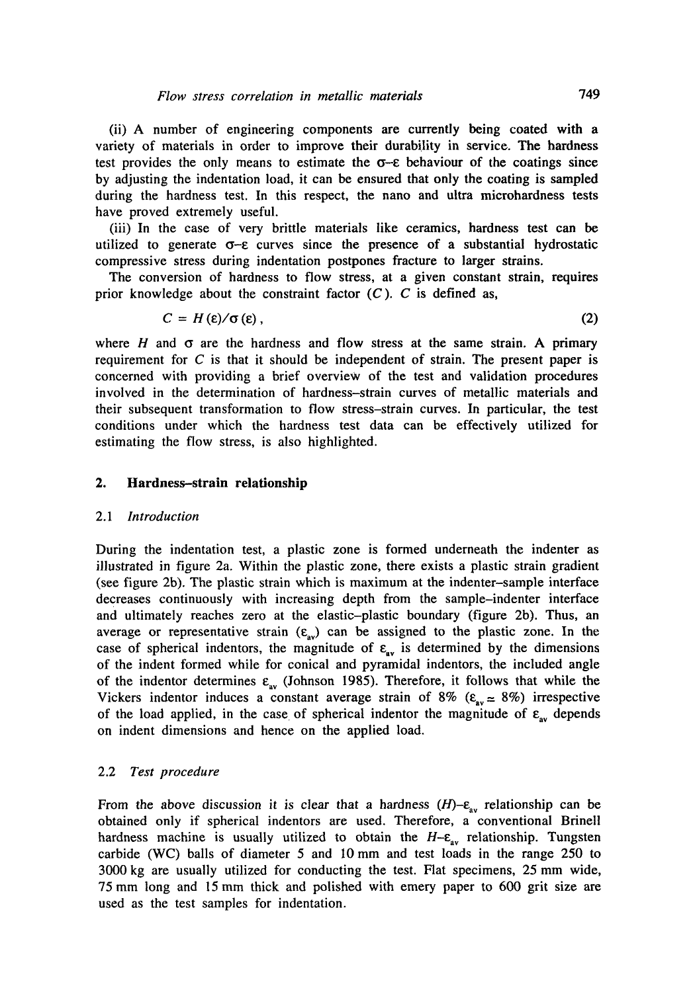(ii) A number of engineering components are currently being coated with a variety of materials in order to improve their durability in service. The hardness test provides the only means to estimate the  $\sigma$ - $\varepsilon$  behaviour of the coatings since by adjusting the indentation load, it can be ensured that only the coating is sampled during the hardness test. In this respect, the nano and ultra mierohardness tests have proved extremely useful.

(iii) In the case of very brittle materials like ceramics, hardness test can be utilized to generate  $\sigma$ - $\epsilon$  curves since the presence of a substantial hydrostatic compressive stress during indentation postpones fracture to larger strains.

The conversion of hardness to flow stress, at a given constant strain, requires prior knowledge about the constraint factor  $(C)$ . C is defined as,

$$
C = H(\varepsilon)/\sigma(\varepsilon), \tag{2}
$$

where H and  $\sigma$  are the hardness and flow stress at the same strain. A primary requirement for  $C$  is that it should be independent of strain. The present paper is concerned with providing a brief overview of the test and validation procedures involved in the determination of hardness-strain curves of metallic materials and their subsequent transformation to flow stress-strain curves. In particular, the *test*  conditions under which the hardness test data can be effectively utilized for estimating the flow stress, is also highlighted.

## **2. Hardness-strain relationship**

#### *2.1 Introduction*

During the indentation test, a plastic zone is formed underneath the indenter as illustrated in figure 2a. Within the plastic zone, there exists a plastic strain gradient (see figure 2b). The plastic strain which is maximum at the indenter-sample interface decreases continuously with increasing depth from the sample-indenter interface and ultimately reaches zero at the elastic-plastic boundary (figure 2b). Thus, an average or representative strain  $(\varepsilon_{av})$  can be assigned to the plastic zone. In the case of spherical indentors, the magnitude of  $\varepsilon_{av}$  is determined by the dimensions of the indent formed while for conical and pyramidal indentors, the included angle of the indentor determines  $\varepsilon_{av}$  (Johnson 1985). Therefore, it follows that while the Vickers indentor induces a constant average strain of 8% ( $\varepsilon_{av} \approx 8\%$ ) irrespective of the load applied, in the case of spherical indentor the magnitude of  $\varepsilon_{av}$  depends on indent dimensions and hence on the applied load.

## 2.2 *Test procedure*

From the above discussion it is clear that a hardness  $(H)-\varepsilon_{av}$  relationship can be obtained only if spherical indentors are used. Therefore, a conventional Brinell hardness machine is usually utilized to obtain the  $H-\varepsilon_{av}$  relationship. Tungsten carbide (WC) balls of diameter 5 and 10 mm and test loads in the range 250 to 3000 kg are usually utilized for conducting the test. Flat specimens, 25 mm wide, 75 mm long and 15 mm thick and polished with emery paper to 600 grit size are used as the test samples for indentation.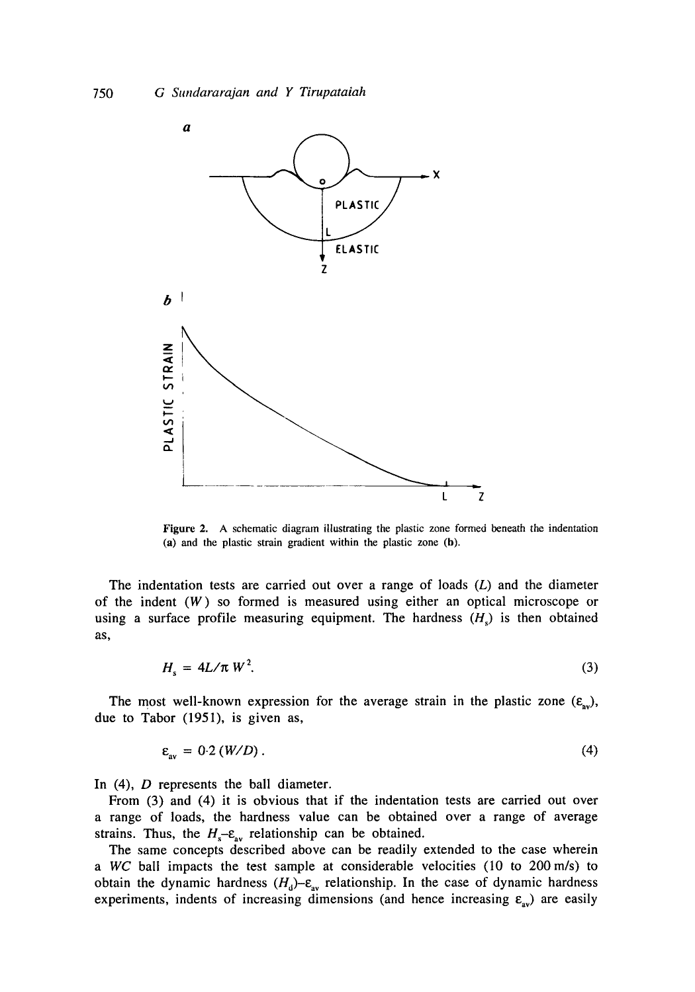

Figure 2. A schematic diagram illustrating the plastic zone formed beneath the indentation (a) and the plastic strain gradient within the plastic zone (b).

The indentation tests are carried out over a range of loads  $(L)$  and the diameter of the indent  $(W)$  so formed is measured using either an optical microscope or using a surface profile measuring equipment. The hardness  $(H<sub>s</sub>)$  is then obtained as,

$$
H_s = 4L/\pi W^2. \tag{3}
$$

The most well-known expression for the average strain in the plastic zone  $(\varepsilon_{av})$ , due to Tabor (1951), is given as,

$$
\varepsilon_{av} = 0.2 \left( \frac{W}{D} \right). \tag{4}
$$

In (4), *D* represents the ball diameter.

From (3) and (4) it is obvious that if the indentation tests are carried out over a range of loads, the hardness value can be obtained over a range of average strains. Thus, the  $H_s$ - $\varepsilon_{av}$  relationship can be obtained.

The same concepts described above can be readily extended to the case wherein *a WC* ball impacts the test sample at considerable velocities (10 to 200m/s) to obtain the dynamic hardness  $(H_d)-\varepsilon_{av}$  relationship. In the case of dynamic hardness experiments, indents of increasing dimensions (and hence increasing  $\varepsilon_{av}$ ) are easily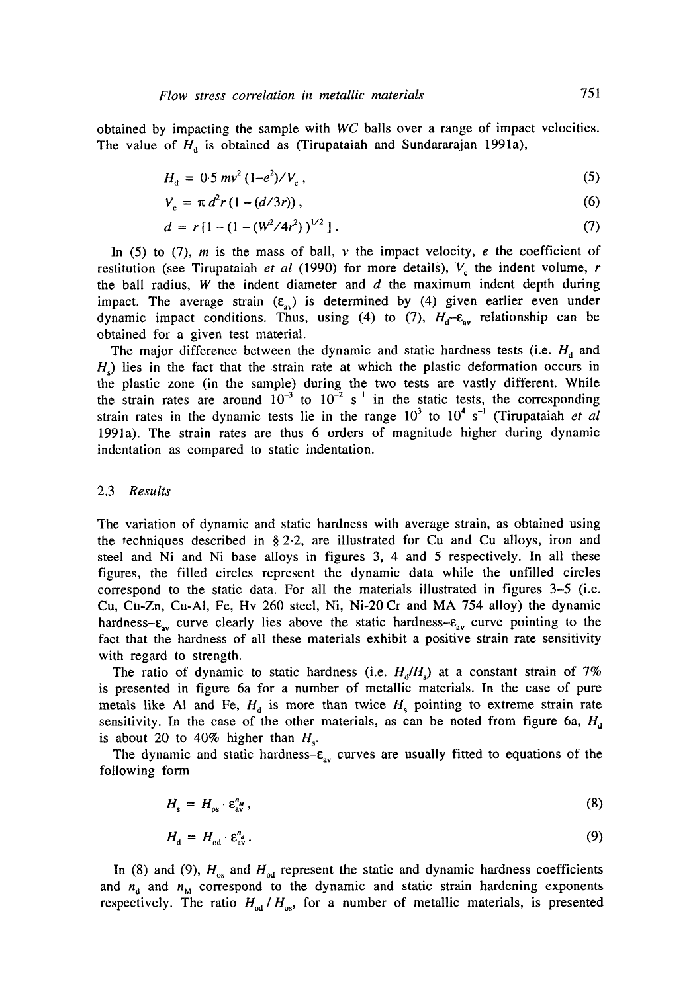obtained by impacting the sample with *WC* balls over a range of impact velocities. The value of  $H_d$  is obtained as (Tirupataiah and Sundararajan 1991a),

$$
H_a = 0.5 \, \text{mv}^2 \, (1 - e^2) / V_c \,, \tag{5}
$$

$$
V_c = \pi d^2 r (1 - (d/3r)),
$$
 (6)

$$
d = r \left[ 1 - (1 - (W^2/4r^2))^{1/2} \right]. \tag{7}
$$

In (5) to (7), m is the mass of ball, v the impact velocity, e the coefficient of restitution (see Tirupataiah *et al* (1990) for more details),  $V_c$  the indent volume, r the ball radius, W the indent diameter and  $d$  the maximum indent depth during impact. The average strain  $(\varepsilon_{av})$  is determined by (4) given earlier even under dynamic impact conditions. Thus, using (4) to (7),  $H_d$ - $\varepsilon_{av}$  relationship can be obtained for a given test material.

The major difference between the dynamic and static hardness tests (i.e.  $H_d$  and  $H<sub>c</sub>$ ) lies in the fact that the strain rate at which the plastic deformation occurs in the plastic zone (in the sample) during the two tests are vastly different. While the strain rates are around  $10^{-3}$  to  $10^{-2}$  s<sup>-1</sup> in the static tests, the corresponding strain rates in the dynamic tests lie in the range  $10<sup>3</sup>$  to  $10<sup>4</sup>$  s<sup>-1</sup> (Tirupataiah *et al* 1991a). The strain rates are thus 6 orders of magnitude higher during dynamic indentation as compared to static indentation.

## 2.3 *Results*

The variation of dynamic and static hardness with average strain, as obtained using the techniques described in § 2.2, are illustrated for Cu and Cu alloys, iron and steel and Ni and Ni base alloys in figures 3, 4 and 5 respectively. In all these figures, the filled circles represent the dynamic data while the unfilled circles correspond to the static data. For all the materials illustrated in figures 3-5 (i.e. Cu, Cu-Zn, Cu-AI, Fe, Hv 260 steel, Ni, Ni-20 Cr and MA 754 alloy) the dynamic hardness- $\epsilon_{av}$  curve clearly lies above the static hardness- $\epsilon_{av}$  curve pointing to the fact that the hardness of all these materials exhibit a positive strain rate sensitivity with regard to strength.

The ratio of dynamic to static hardness (i.e.  $H<sub>a</sub>/H<sub>s</sub>$ ) at a constant strain of 7% is presented in figure 6a for a number of metallic materials. In the case of pure metals like Al and Fe,  $H_d$  is more than twice  $H_s$  pointing to extreme strain rate sensitivity. In the case of the other materials, as can be noted from figure 6a,  $H_d$ is about 20 to 40% higher than  $H_s$ .

The dynamic and static hardness- $\epsilon_{av}$  curves are usually fitted to equations of the following form

$$
H_s = H_{\text{os}} \cdot \varepsilon_{\text{av}}^n \,, \tag{8}
$$

$$
H_{\rm d} = H_{\rm od} \cdot \mathbf{\varepsilon}_{\rm av}^n \,. \tag{9}
$$

In (8) and (9),  $H_{\text{os}}$  and  $H_{\text{od}}$  represent the static and dynamic hardness coefficients and  $n_d$  and  $n_M$  correspond to the dynamic and static strain hardening exponents respectively. The ratio  $H_{od}/H_{os}$ , for a number of metallic materials, is presented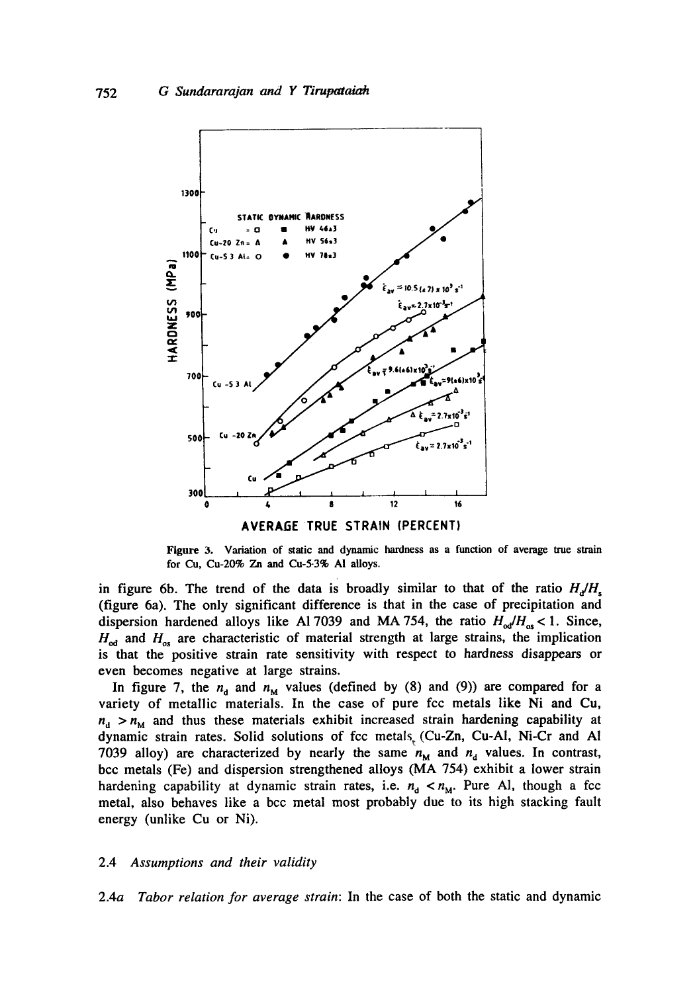

Figure 3. Variation of static and dynamic hardness as a function of average true strain

for Cu, Cu-20% Zn and Cu-5.3% AI alloys.

in figure 6b. The trend of the data is broadly similar to that of the ratio  $H_d/H_s$ (figure 6a). The only significant difference is that in the case of precipitation and dispersion hardened alloys like Al 7039 and MA 754, the ratio  $H_{od}/H_{as}$  < 1. Since,  $H_{\rm od}$  and  $H_{\rm os}$  are characteristic of material strength at large strains, the implication is that the positive strain rate sensitivity with respect to hardness disappears or even becomes negative at large strains.

In figure 7, the  $n_d$  and  $n_M$  values (defined by (8) and (9)) are compared for a variety of metallic materials. In the case of pure fcc metals like Ni and Cu,  $n_d > n_M$  and thus these materials exhibit increased strain hardening capability at dynamic strain rates. Solid solutions of fcc metals (Cu-Zn, Cu-A1, Ni-Cr and AI 7039 alloy) are characterized by nearly the same  $n_M$  and  $n_d$  values. In contrast, bcc metals (Fe) and dispersion strengthened alloys (MA 754) exhibit a lower strain hardening capability at dynamic strain rates, i.e.  $n_d < n_M$ . Pure Al, though a fcc metal, also behaves like a bcc metal most probably due to its high stacking fault energy (unlike Cu or Ni).

#### 2.4 *Assumptions and their validity*

2.4a *Tabor relation for average strain:* In the case of both the static and dynamic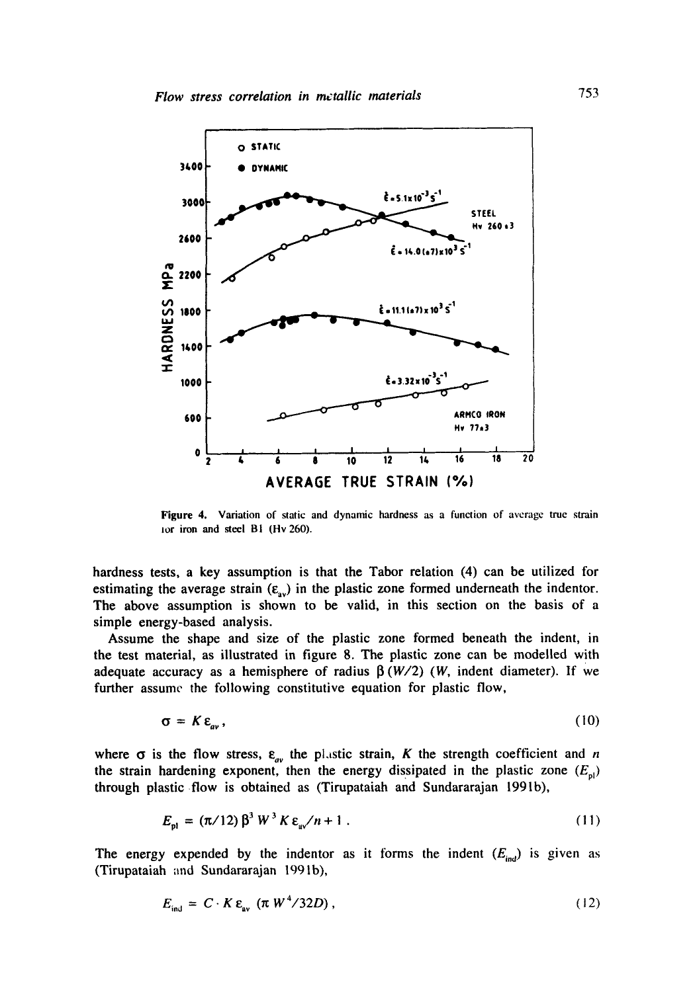

**Figure** 4. Variation of static and dynamic hardness as a function of average true strain tor iron and steel B1 (Hv 260).

hardness tests, a key assumption is that the Tabor relation (4) can be utilized for estimating the average strain  $(\varepsilon_{av})$  in the plastic zone formed underneath the indentor. The above assumption is shown to be valid, in this section on the basis of a simple energy-based analysis.

Assume the shape and size of the plastic zone formed beneath the indent, in the test material, as illustrated in figure 8. The plastic zone can be modelled with adequate accuracy as a hemisphere of radius  $\beta(W/2)$  (W, indent diameter). If we further assume the following constitutive equation for plastic flow,

$$
\sigma = K \varepsilon_{av},\tag{10}
$$

where  $\sigma$  is the flow stress,  $\varepsilon_{av}$  the plastic strain, K the strength coefficient and n the strain hardening exponent, then the energy dissipated in the plastic zone  $(E_{n})$ through plastic flow is obtained as (Tirupataiah and Sundararajan 1991b),

$$
E_{\rm pl} = (\pi/12) \,\beta^3 \, W^3 \, K \, \varepsilon_{\rm sp} / n + 1 \,. \tag{11}
$$

The energy expended by the indentor as it forms the indent  $(E_{ind})$  is given as (Tirupataiah and Sundararajan 1991b),

$$
E_{\rm int} = C \cdot K \, \varepsilon_{\rm av} \, (\pi \, W^4 / 32D) \,, \tag{12}
$$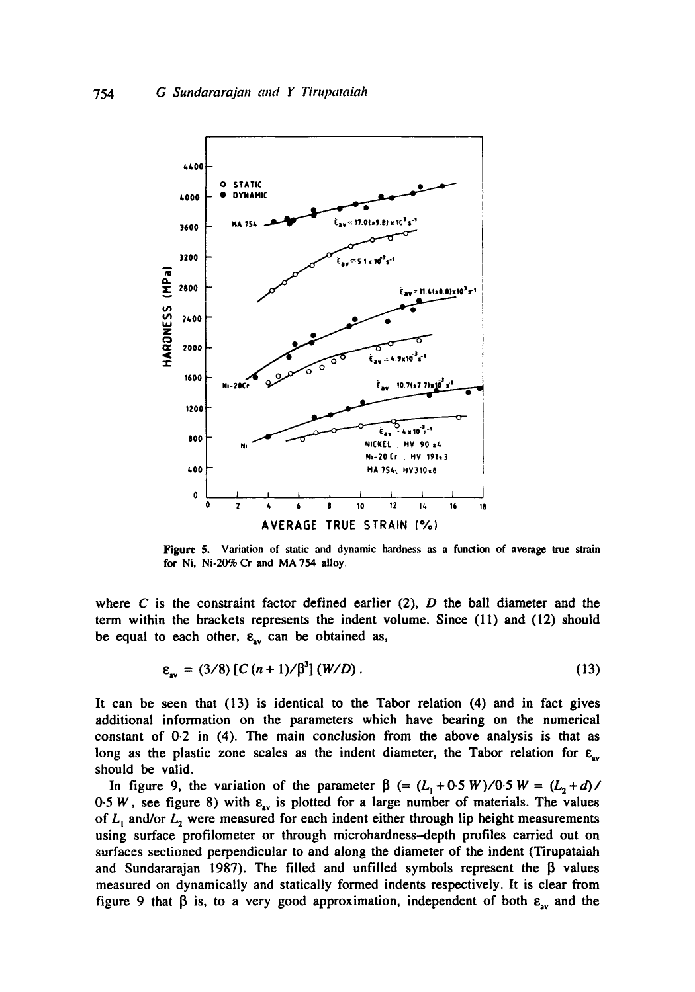

**Figure 5. Variation of static and dynamic hardness as a function of average true strain for Ni, Ni-20% Cr and MA 754 alloy.** 

where C is the constraint factor defined earlier  $(2)$ , D the ball diameter and the term within the brackets represents the indent volume. Since (11) and (12) should be equal to each other,  $\epsilon_{av}$  can be obtained as,

$$
\varepsilon_{av} = (3/8) [C (n+1)/\beta^3] (W/D).
$$
 (13)

It can be seen that (13) is identical to the Tabor relation (4) and in fact gives additional information on the parameters which have bearing on the numerical constant of 0.2 in (4). The main conclusion from the above analysis is that as long as the plastic zone scales as the indent diameter, the Tabor relation for  $\varepsilon_{av}$ should be valid.

In figure 9, the variation of the parameter  $\beta$  (=  $(L_1 + 0.5 W)/0.5 W = (L_2 + d)$ / 0.5 W, see figure 8) with  $\varepsilon_{av}$  is plotted for a large number of materials. The values of  $L_1$  and/or  $L_2$  were measured for each indent either through lip height measurements using surface profilometer or through microhardness--depth profiles carried out on surfaces sectioned perpendicular to and along the diameter of the indent (Tirupataiah and Sundararajan 1987). The filled and unfilled symbols represent the  $\beta$  values measured on dynamically and statically formed indents respectively. It is clear from figure 9 that  $\beta$  is, to a very good approximation, independent of both  $\varepsilon_{av}$  and the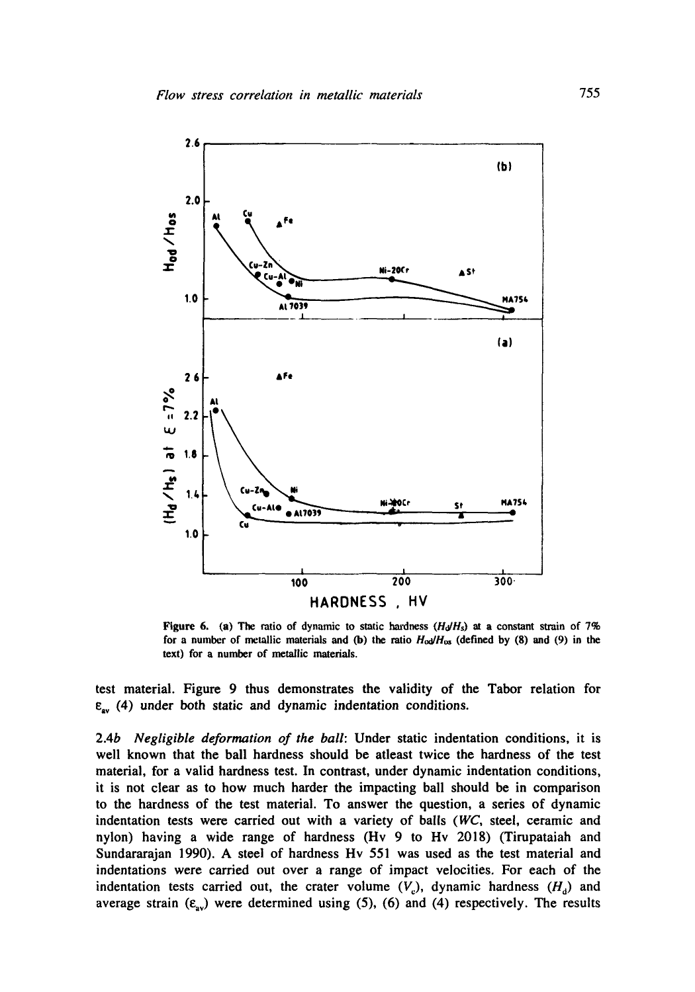

Figure 6. (a) The ratio of dynamic to static hardness  $(H<sub>d</sub>H<sub>s</sub>)$  at a constant strain of 7% for a number of metallic materials and (b) the ratio  $H<sub>o</sub>d/H<sub>os</sub>$  (defined by (8) and (9) in the text) for a number of metallic materials.

test material. Figure 9 thus demonstrates the validity of the Tabor relation for  $\varepsilon_{av}$  (4) under both static and dynamic indentation conditions.

2.4b *Negligible deformation of the ball:* Under static indentation conditions, it is well known that the ball hardness should be atleast twice the hardness of the test material, for a valid hardness test. In contrast, under dynamic indentation conditions, it is not clear as to how much harder the impacting ball should be in comparison to the hardness of the test material. To answer the question, a series of dynamic indentation tests were carried out with a variety of balls *(WC,* steel, ceramic and nylon) having a wide range of hardness (Hv 9 to Hv 2018) (Tirupataiah and Sundararajan 1990). A steel of hardness Hv 551 was used as the test material and indentations were carried out over a range of impact velocities. For each of the indentation tests carried out, the crater volume  $(V<sub>c</sub>)$ , dynamic hardness  $(H<sub>d</sub>)$  and average strain  $(\varepsilon_{av})$  were determined using (5), (6) and (4) respectively. The results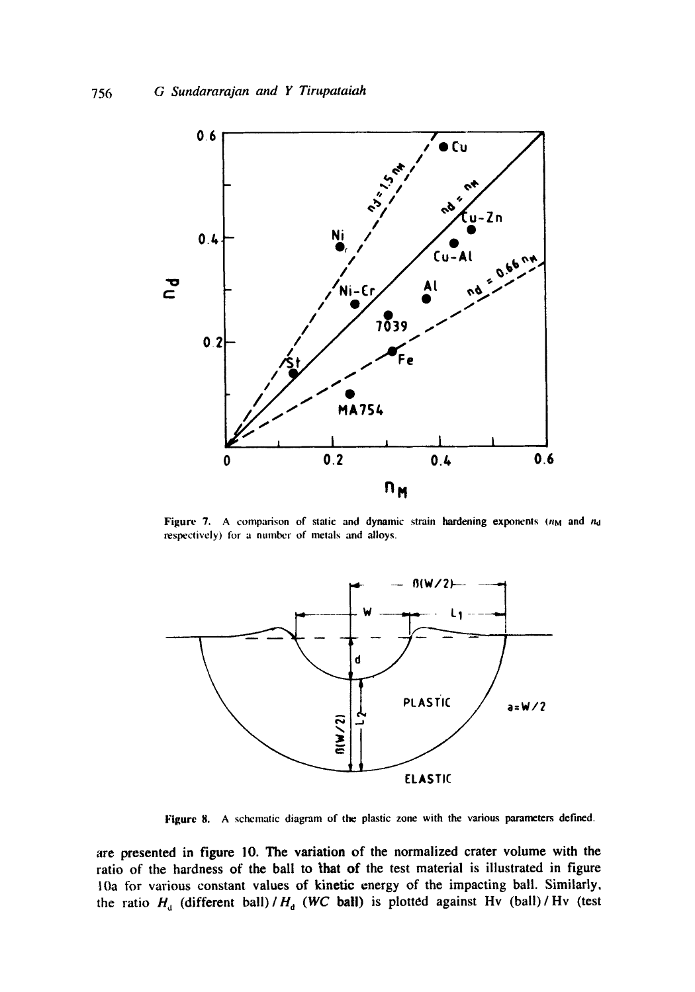

Figure 7. A comparison of static and dynamic strain hardening exponents  $(n_M$  and  $n_d$ respectively) for a number of metals and alloys.



Figure 8. A schematic diagram of the plastic zone with the various parameters defined.

are presented in figure 10. The variation of the normalized crater volume with the ratio of the hardness of the ball to that of the test material is illustrated in figure lOa for various constant values of kinetic energy of the impacting ball. Similarly, the ratio  $H_d$  (different ball) /  $H_d$  (WC ball) is plotted against Hv (ball) / Hv (test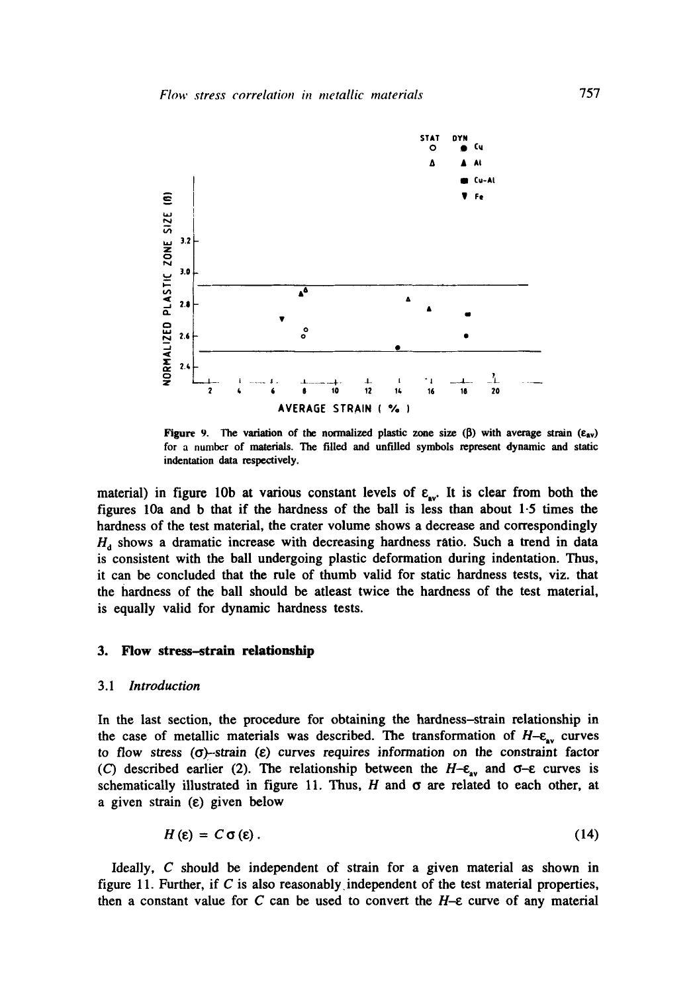

**Figure 9.** The variation of the normalized plastic zone size  $(\beta)$  with average strain  $(\epsilon_{av})$ **for a number of materials. The filled and unfilled symbols represent dynamic and static indentation data respectively.** 

material) in figure 10b at various constant levels of  $\varepsilon_{av}$ . It is clear from both the **figures 10a and b that if the hardness of the ball is less than about 1.5 times the hardness of the test material, the crater volume shows a decrease and correspondingly**   $H<sub>a</sub>$  shows a dramatic increase with decreasing hardness ratio. Such a trend in data **is consistent with the ball undergoing plastic deformation during indentation. Thus, it can be concluded that the rule of thumb valid for static hardness tests, viz. that the hardness of the ball should be atleast twice the hardness of the test material, is equally valid for dynamic hardness tests.** 

#### **3. Flow stress-strain relationship**

## *3.1 Introduction*

**In the last section, the procedure for obtaining the hardness-strain relationship in**  the case of metallic materials was described. The transformation of  $H_{-\varepsilon_{av}}$  curves to flow stress  $(\sigma)$ -strain  $(\varepsilon)$  curves requires information on the constraint factor (C) described earlier (2). The relationship between the  $H-\epsilon_{av}$  and  $\sigma-\epsilon$  curves is schematically illustrated in figure 11. Thus,  $H$  and  $\sigma$  are related to each other, at **a given strain (¢) given below** 

$$
H\left(\varepsilon\right) = C\,\sigma\left(\varepsilon\right). \tag{14}
$$

**Ideally, C should be independent of strain for a given material as shown in figure 11. Further, if C is also reasonably independent of the test material properties,**  then a constant value for  $C$  can be used to convert the  $H$ - $\varepsilon$  curve of any material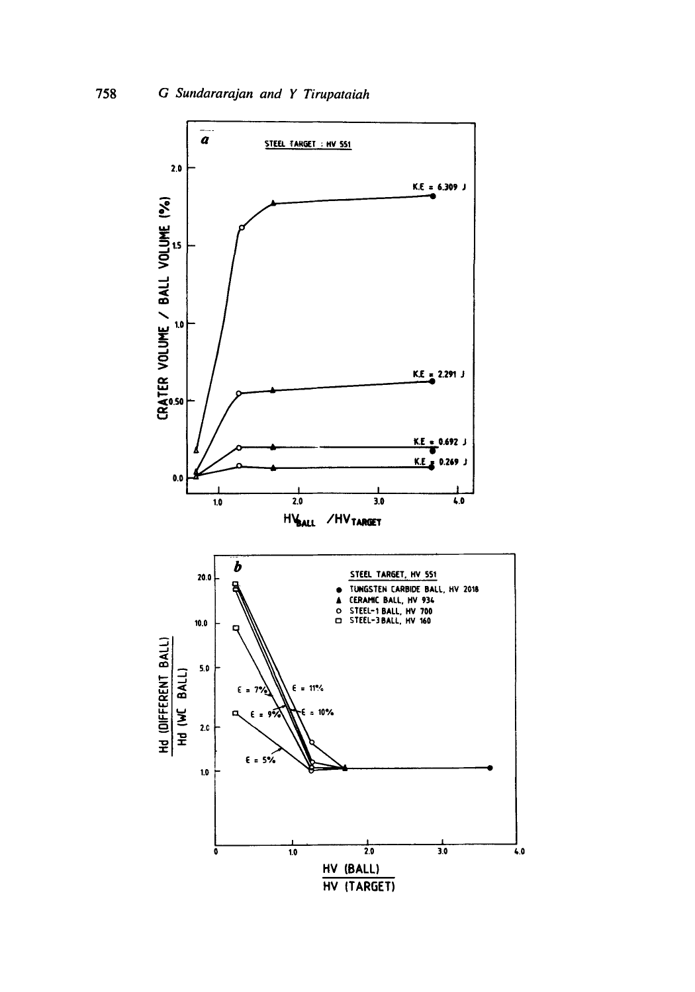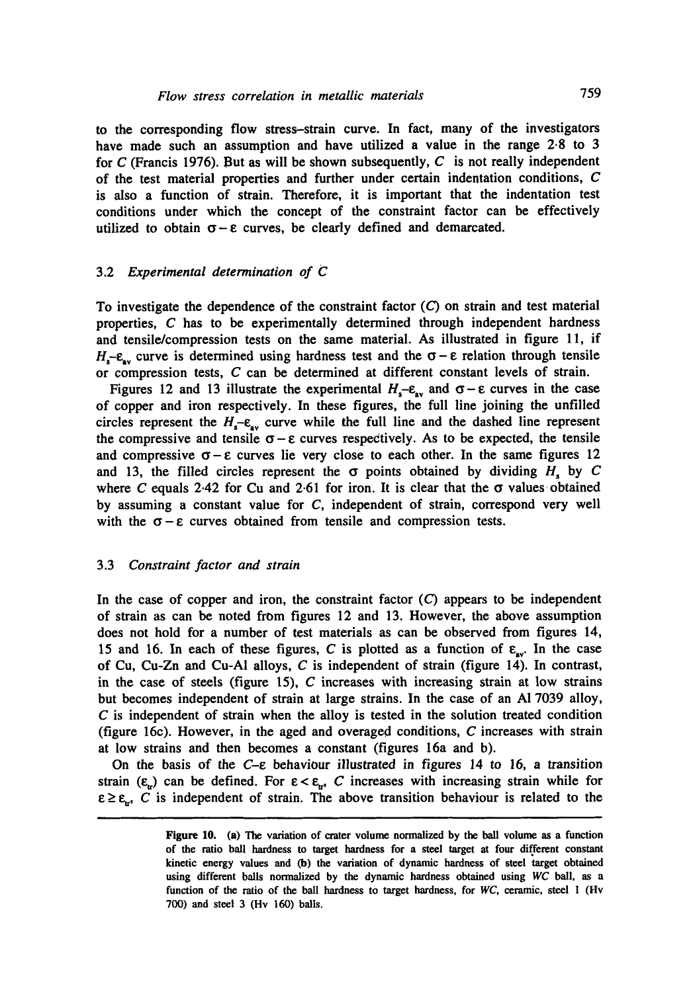to the corresponding flow stress-strain curve. In fact, many of the investigators have made such an assumption and have utilized a value in the range 2.8 to 3 for C (Francis 1976). But as will be shown subsequently, C is not really independent of the test material properties and further under certain indentation conditions, C is also a function of strain. Therefore, it is important that the indentation test conditions under which the concept of the constraint factor can be effectively utilized to obtain  $\sigma - \varepsilon$  curves, be clearly defined and demarcated.

### 3.2 *Experimental determination of C*

To investigate the dependence of the constraint factor  $(C)$  on strain and test material properties, C has to be experimentally determined through independent hardness and tensile/compression tests on the same material. As illustrated in figure 11, if H<sub>r</sub>-e<sub>rr</sub> curve is determined using hardness test and the  $\sigma$ - $\varepsilon$  relation through tensile or compression tests, C can be determined at different constant levels of strain.

Figures 12 and 13 illustrate the experimental  $H_s-\varepsilon_{av}$  and  $\sigma-\varepsilon$  curves in the case of copper and iron respectively. In these figures, the full line joining the unfilled circles represent the  $H_{s}-\varepsilon_{av}$  curve while the full line and the dashed line represent the compressive and tensile  $\sigma - \varepsilon$  curves respectively. As to be expected, the tensile and compressive  $\sigma - \varepsilon$  curves lie very close to each other. In the same figures 12 and 13, the filled circles represent the  $\sigma$  points obtained by dividing H, by C where C equals 2.42 for Cu and 2.61 for iron. It is clear that the  $\sigma$  values obtained by assuming a constant value for C, independent of strain, correspond very well with the  $\sigma - \varepsilon$  curves obtained from tensile and compression tests.

#### 3.3 *Constraint factor and strain*

In the case of copper and iron, the constraint factor  $(C)$  appears to be independent of strain as can be noted from figures 12 and 13. However, the above assumption does not hold for a number of test materials as can be observed from figures 14, 15 and 16. In each of these figures, C is plotted as a function of  $\varepsilon_{av}$ . In the case of Cu, Cu-Zn and Cu-Al alloys,  $C$  is independent of strain (figure 14). In contrast, in the case of steels (figure 15),  $C$  increases with increasing strain at low strains but becomes independent of strain at large strains. In the case of an A1 7039 alloy,  $C$  is independent of strain when the alloy is tested in the solution treated condition (figure 16c). However, in the aged and overaged conditions, C increases with strain at low strains and then becomes a constant (figures 16a and b).

On the basis of the  $C-\varepsilon$  behaviour illustrated in figures 14 to 16, a transition strain ( $\varepsilon_{tr}$ ) can be defined. For  $\varepsilon < \varepsilon_{tr}$ , C increases with increasing strain while for  $\varepsilon \ge \varepsilon_{w}$ , C is independent of strain. The above transition behaviour is related to the

Figure 10. (a) The variation of crater volume normalized by the ball volume as a function of the ratio ball hardness to target hardness for a steel target at four different constant kinetic energy values and (b) the variation of dynamic hardness of steel target obtained using different balls normalized by the dynamic hardness obtained using *WC* ball, as a function of the ratio of the ball hardness to target hardness, for *WC,* ceramic, steel 1 (Hv 700) and steel 3 (Hv 160) balls.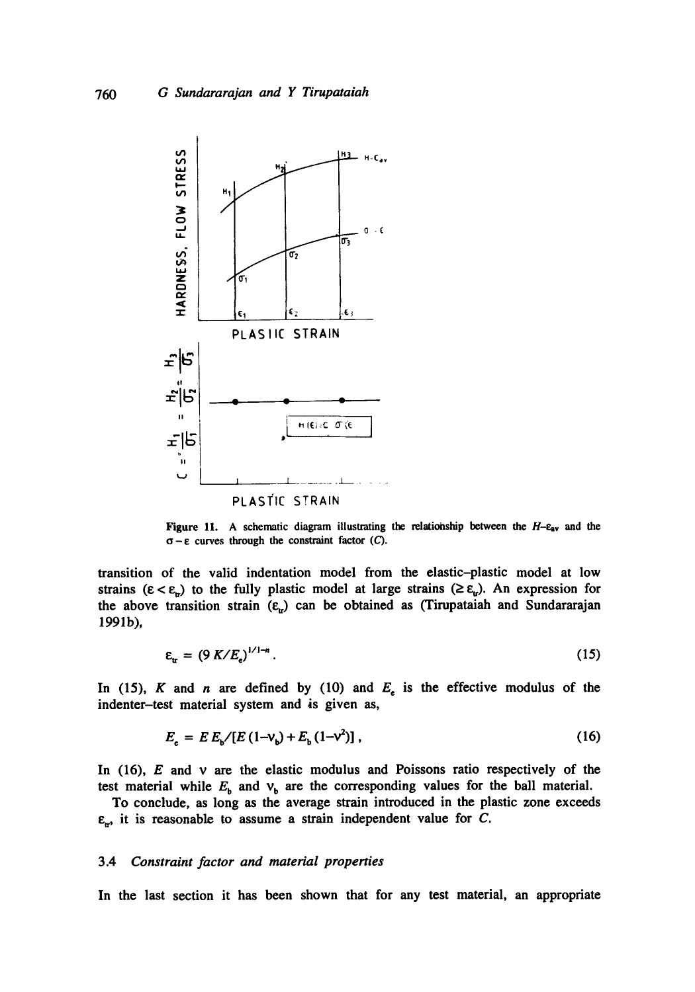

**Figure 11.** A schematic diagram illustrating the relationship between the  $H$ - $\varepsilon_{av}$  and the  $\sigma - \varepsilon$  curves through the constraint factor  $(C)$ .

**transition of the valid indentation model from the elastic-plastic model at low**  strains  $(\epsilon < \epsilon_{\rm w})$  to the fully plastic model at large strains  $(\geq \epsilon_{\rm w})$ . An expression for the above transition strain  $(\varepsilon_{\rm tr})$  can be obtained as (Tirupataiah and Sundararajan **1991b),** 

$$
\varepsilon_{\rm tr} = \left(9 \, K/E_{\rm e}\right)^{1/1-n}.\tag{15}
$$

In (15), K and n are defined by (10) and  $E_e$  is the effective modulus of the **indenter-test material system and is given as,** 

$$
E_{\rm c} = E E_{\rm b} / [E (1 - V_{\rm b}) + E_{\rm b} (1 - V^2)], \qquad (16)
$$

**In (16), E and v are the elastic modulus and Poissons ratio respectively of the**  test material while  $E<sub>b</sub>$  and  $v<sub>b</sub>$  are the corresponding values for the ball material.

**To conclude, as long as the average strain introduced in the plastic zone exceeds**   $\epsilon_{r}$ , it is reasonable to assume a strain independent value for C.

### **3.4** *Constraint factor and material properties*

**In the last section it has been shown that for any test material, an appropriate**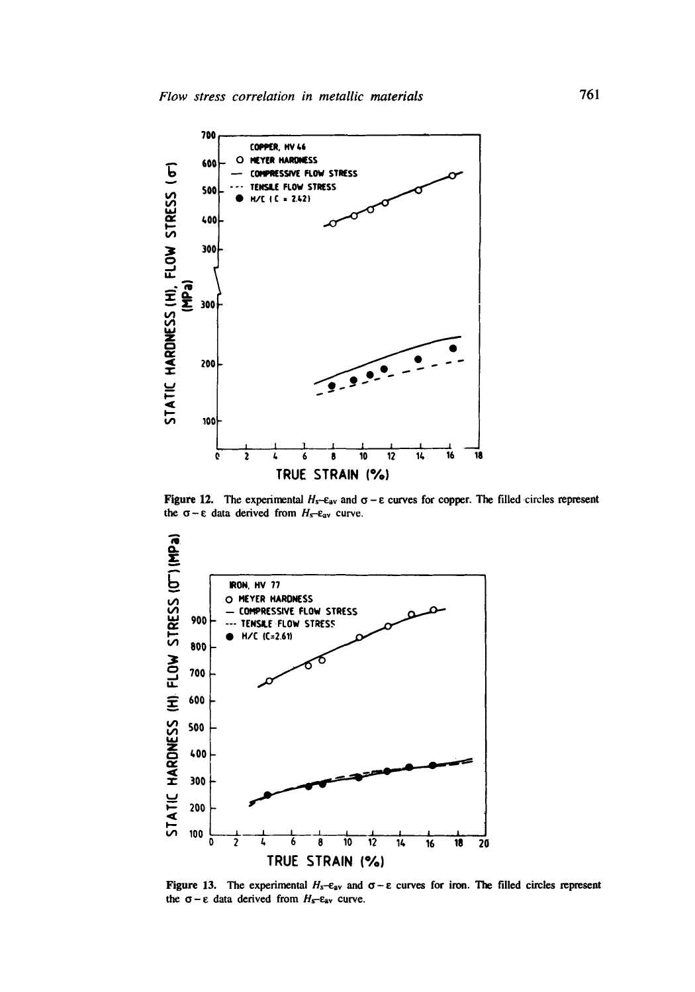

Figure 12. The experimental  $H_s$ - $\varepsilon_{av}$  and  $\sigma - \varepsilon$  curves for copper. The filled circles represent the  $\sigma$ - $\varepsilon$  data derived from  $H_s$ - $\varepsilon_{av}$  curve.



Figure 13. The experimental  $H_s-\varepsilon_{av}$  and  $\sigma-\varepsilon$  curves for iron. The filled circles represent the  $\sigma$  -  $\varepsilon$  data derived from  $H_s$ - $\varepsilon_{av}$  curve.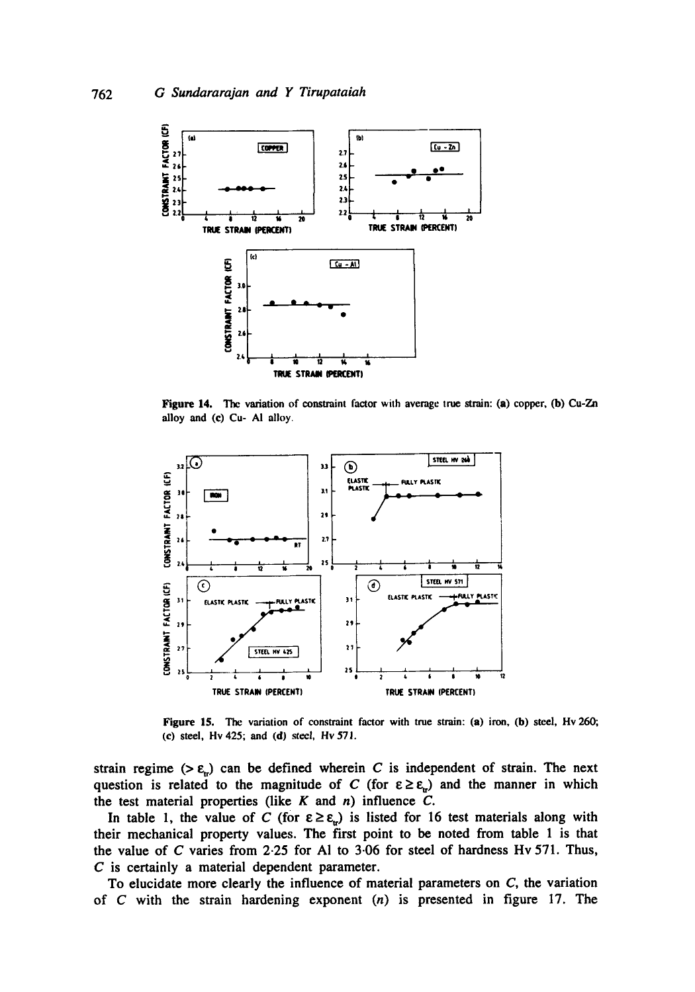

Figure 14. The variation of constraint factor with average true strain: (a) copper, (b) Cu-Zn **alloy and (c) Cu- AI alloy.** 



**Figure 15. The variation of constraint factor with true strain: (a) iron, (b) steel, Hv 260; (c) steel, Hv 425; and (d) steel, Hv571.** 

strain regime ( $>\varepsilon_n$ ) can be defined wherein C is independent of strain. The next question is related to the magnitude of C (for  $\epsilon \ge \epsilon_{\rm w}$ ) and the manner in which the test material properties (like  $K$  and  $n$ ) influence  $C$ .

In table 1, the value of C (for  $\epsilon \ge \epsilon_{\rm b}$ ) is listed for 16 test materials along with **their mechanical property values. The first point to be noted from table 1 is that the value of C varies from 2.25 for Al to 3.06 for steel of hardness Hv 571. Thus, C is certainly a material dependent parameter.** 

**To elucidate more clearly the influence of material parameters on C, the variation of C with the strain hardening exponent (n) is presented in figure 17. The**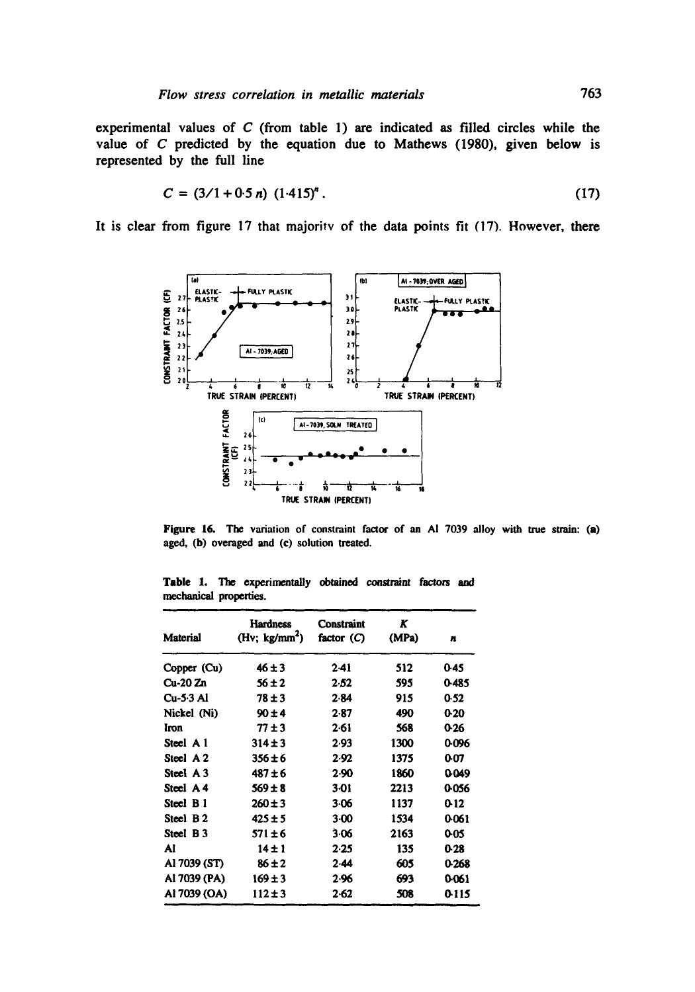**experimental values of C (from table 1) are indicated as filled circles while the value of C predicted by the equation due to Mathews (1980), given below is represented by the full line** 

$$
C = (3/1 + 0.5 n) (1.415)^n. \tag{17}
$$

It is clear from figure 17 that majority of the data points fit (17). However, there



Figure 16. The variation of constraint factor of an AI 7039 alloy with true strain: (a) aged, (b) overaged and (c) solution treated.

|                        | <b>Table 1.</b> The experimentally obtained constraint factors and |  |  |
|------------------------|--------------------------------------------------------------------|--|--|
| mechanical properties. |                                                                    |  |  |

| Material             | Hardness<br>(Hv; $kg/mm^2$ ) | Constraint<br>factor $(C)$ | K<br>(MPa) | n     |
|----------------------|------------------------------|----------------------------|------------|-------|
| Copper (Cu)          | $46 + 3$                     | $2-41$                     | 512        | 0.45  |
| Cu-20 Zn             | $56 \pm 2$                   | 2.52                       | 595        | 0-485 |
| $Cu-5.3 Al$          | $78 + 3$                     | 2.84                       | 915        | 0.52  |
| Nickel (Ni)          | $90 + 4$                     | 2.87                       | 490        | 0.20  |
| Iron                 | $77 + 3$                     | $2-61$                     | 568        | 0.26  |
| Steel A 1            | $314 + 3$                    | 2.93                       | 1300       | 0.096 |
| Steel A <sub>2</sub> | $356 \pm 6$                  | 2.92                       | 1375       | 0.07  |
| Steel A3             | $487 + 6$                    | 2.90                       | 1860       | 0049  |
| Steel A4             | $569 \pm 8$                  | 3 01                       | 2213       | 0.056 |
| Steel B1             | $260 \pm 3$                  | $3-06$                     | 1137       | 0-12  |
| Steel B <sub>2</sub> | $425 \pm 5$                  | $3-00$                     | 1534       | 0-061 |
| Steel B <sub>3</sub> | $571 \pm 6$                  | 3.06                       | 2163       | 0-05  |
| Al                   | $14 + 1$                     | 2.25                       | 135        | 0-28  |
| Al 7039 (ST)         | $86 + 2$                     | $2-44$                     | 605        | 0.268 |
| AI 7039 (PA)         | $169 \pm 3$                  | 2.96                       | 693        | 0.061 |
| AI 7039 (OA)         | $112 \pm 3$                  | $2 - 62$                   | 508        | 0115  |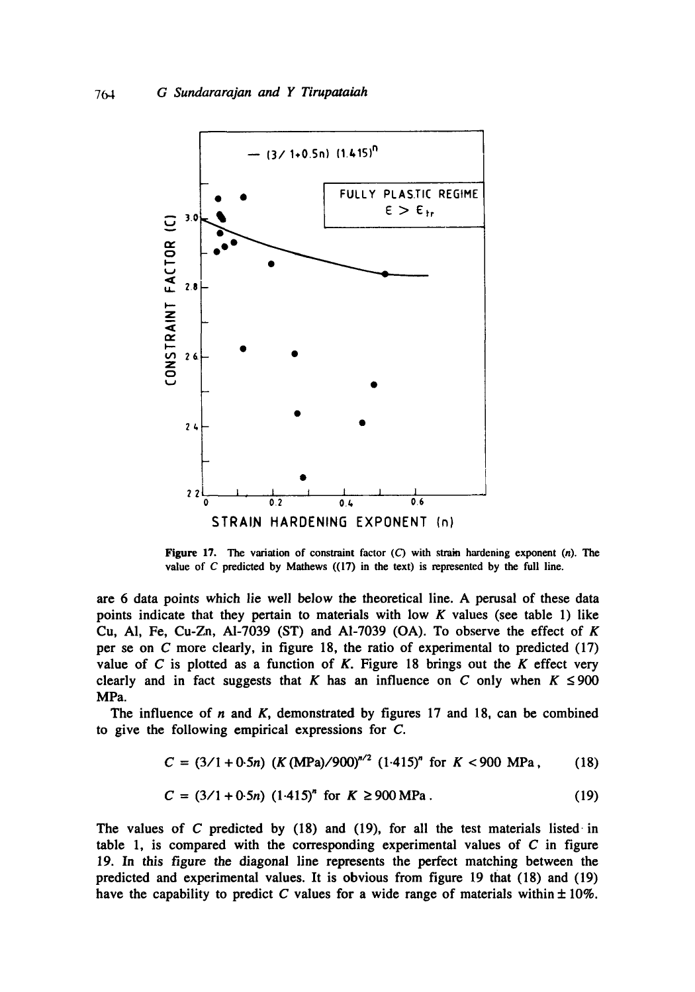

Figure 17. The variation of constraint factor  $(C)$  with strain hardening exponent  $(n)$ . The value of  $C$  predicted by Mathews  $((17)$  in the text) is represented by the full line.

are 6 data points which lie well below the theoretical line. A perusal of these data points indicate that they pertain to materials with low  $K$  values (see table 1) like Cu, Al, Fe, Cu-Zn, Al-7039 (ST) and Al-7039 (OA). To observe the effect of  $K$ per se on C more clearly, in figure 18, the ratio of experimental to predicted (17) value of  $C$  is plotted as a function of  $K$ . Figure 18 brings out the  $K$  effect very clearly and in fact suggests that K has an influence on C only when  $K \le 900$ MPa.

The influence of  $n$  and  $K$ , demonstrated by figures 17 and 18, can be combined to give the following empirical expressions for C.

$$
C = (3/1 + 0.5n) (K (MPa)/900)^{n/2} (1.415)^n
$$
 for  $K < 900$  MPa, (18)

$$
C = (3/1 + 0.5n) (1.415)^{n} \text{ for } K \ge 900 \text{ MPa}. \tag{19}
$$

**The values of C predicted by (18) and (19), for all the test materials listed-in table 1, is compared with the corresponding experimental values of C in figure 19. In this figure the diagonal line represents the perfect matching between the predicted and experimental values. It is obvious from figure 19 that (18) and (19)**  have the capability to predict  $C$  values for a wide range of materials within  $\pm 10\%$ .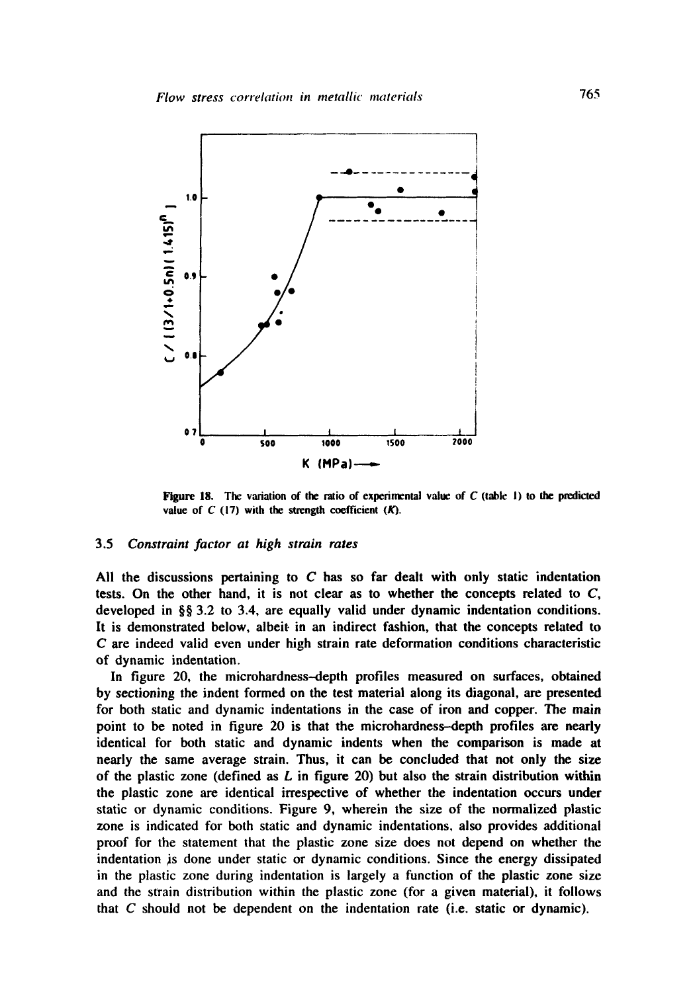

Figure 18. The variation of the ratio of experimental value of  $C$  (table 1) to the predicted value of  $C$  (17) with the strength coefficient  $(K)$ .

### 3.5 *Constraint factor at high strain rates*

All the discussions pertaining to  $C$  has so far dealt with only static indentation tests. On the other hand, it is not clear as to whether the concepts related to  $C$ , developed in §§ 3.2 to 3.4, are equally valid under dynamic indentation conditions. It is demonstrated below, albeit in an indirect fashion, that the concepts related to C are indeed valid even under high strain rate deformation conditions characteristic of dynamic indentation.

In figure 20, the microhardness-depth profiles measured on surfaces, obtained by sectioning the indent formed on the test material along its diagonal, are presented for both static and dynamic indentations in the case of iron and copper. The main point to be noted in figure 20 is that the microhardness-depth profiles are nearly identical for both static and dynamic indents when the comparison is made at nearly the same average strain. Thus, it can be concluded that not only the size of the plastic zone (defined as  $L$  in figure 20) but also the strain distribution within the plastic zone are identical irrespective of whether the indentation occurs under static or dynamic conditions. Figure 9, wherein the size of the normalized plastic zone is indicated for both static and dynamic indentations, also provides additional proof for the statement that the plastic zone size does not depend on whether the indentation is done under static or dynamic conditions. Since the energy dissipated in the plastic zone during indentation is largely a function of the plastic zone size and the strain distribution within the plastic zone (for a given material), it follows that C should not be dependent on the indentation rate (i.e. static or dynamic).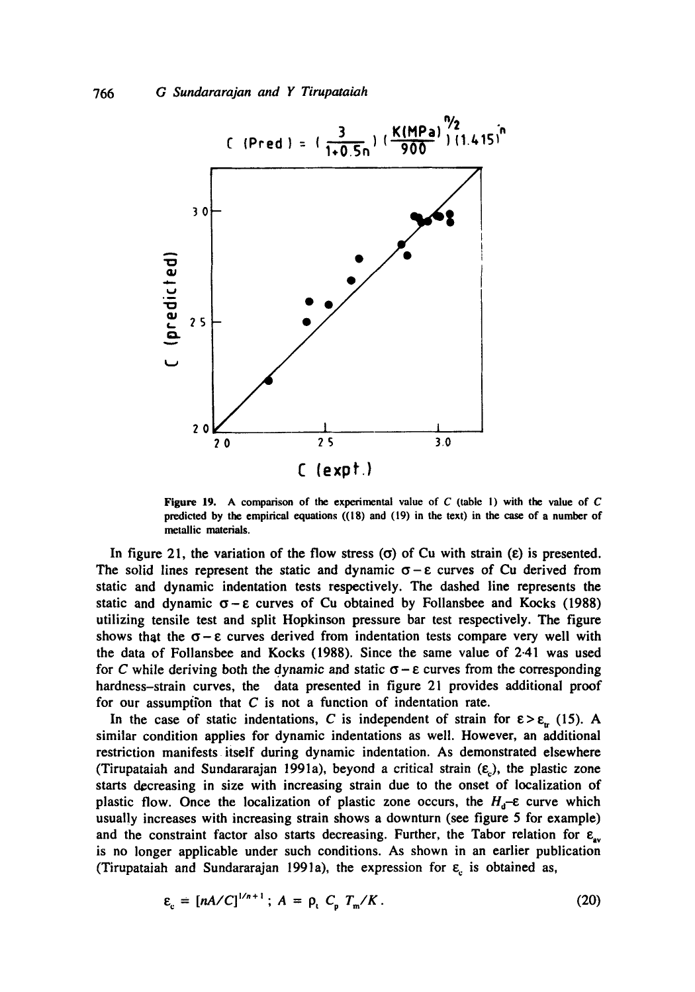

**Figure** 19. A comparison of the experimental value of C (table I) with the value of C predicted by the empirical equations  $((18)$  and  $(19)$  in the text) in the case of a number of metallic materials.

In figure 21, the variation of the flow stress  $(\sigma)$  of Cu with strain  $(\epsilon)$  is presented. The solid lines represent the static and dynamic  $\sigma - \varepsilon$  curves of Cu derived from static and dynamic indentation tests respectively. The dashed line represents the static and dynamic  $\sigma - \varepsilon$  curves of Cu obtained by Follansbee and Kocks (1988) utilizing tensile test and split Hopkinson pressure bar test respectively. The figure shows that the  $\sigma - \varepsilon$  curves derived from indentation tests compare very well with the data of Follansbee and Kocks (1988). Since the same value of 2.41 was used for C while deriving both the dynamic and static  $\sigma - \varepsilon$  curves from the corresponding hardness-strain curves, the data presented in figure 21 provides additional proof for our assumption that  $C$  is not a function of indentation rate.

In the case of static indentations, C is independent of strain for  $\varepsilon > \varepsilon_{rr}$  (15). A similar condition applies for dynamic indentations as well. However, an additional restriction manifests itself during dynamic indentation. As demonstrated elsewhere (Tirupataiah and Sundararajan 1991a), beyond a critical strain  $(\varepsilon_c)$ , the plastic zone starts decreasing in size with increasing strain due to the onset of localization of plastic flow. Once the localization of plastic zone occurs, the  $H_d$ - $\varepsilon$  curve which usually increases with increasing strain shows a downturn (see figure 5 for example) and the constraint factor also starts decreasing. Further, the Tabor relation for  $\varepsilon_{av}$ is no longer applicable under such conditions. As shown in an earlier publication (Tirupataiah and Sundararajan 1991a), the expression for  $\varepsilon_c$  is obtained as,

$$
\varepsilon_{\rm c} = \left[ nA/C \right]^{1/n+1}; \ A = \rho_{\rm c} C_{\rm o} T_{\rm m}/K. \tag{20}
$$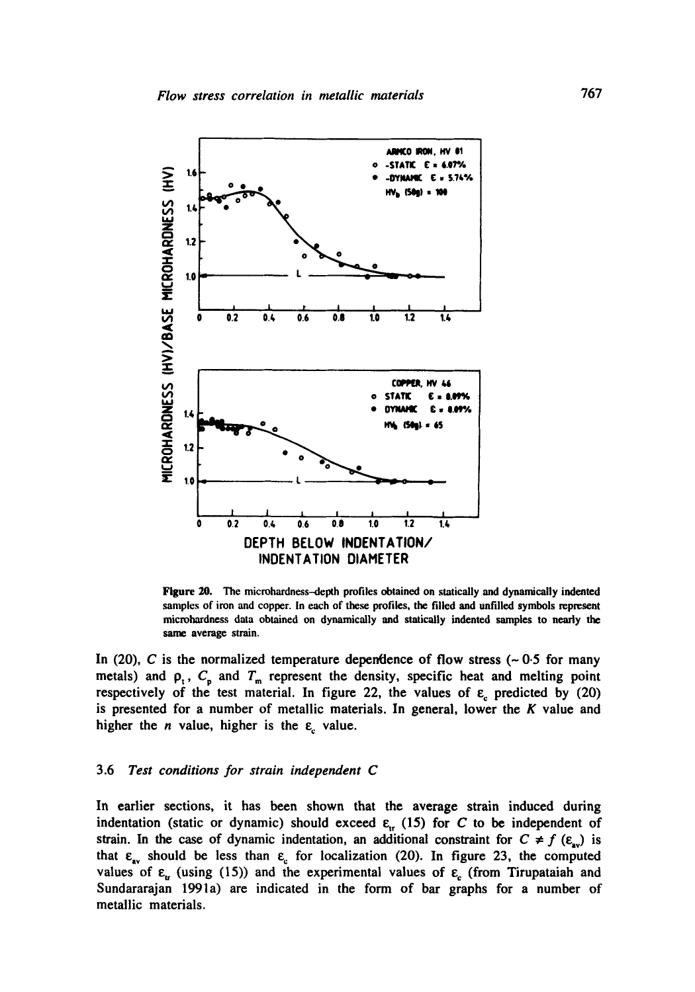

Figure 20. The microhardness-depth profiles obtained on statically and dynamically indented samples of iron and copper. In each of these profiles, the filled and unfilled symbols represent microhardness data obtained on dynamically and statically indented samples to nearly the same average strain.

In (20), C is the normalized temperature dependence of flow stress ( $\sim 0.5$  for many metals) and  $\rho_t$ ,  $C_p$  and  $T_m$  represent the density, specific heat and melting point respectively of the test material. In figure 22, the values of  $\varepsilon$  predicted by (20) is presented for a number of metallic materials. In general, lower the  $K$  value and higher the *n* value, higher is the  $\varepsilon$  value.

#### 3.6 *Test conditions for strain independent C*

In earlier sections, it has been shown that the average strain induced during indentation (static or dynamic) should exceed  $\varepsilon_{tr}$  (15) for C to be independent of strain. In the case of dynamic indentation, an additional constraint for  $C \neq f$  ( $\varepsilon_{av}$ ) is that  $\varepsilon_{av}$  should be less than  $\varepsilon_c$  for localization (20). In figure 23, the computed values of  $\varepsilon_{tr}$  (using (15)) and the experimental values of  $\varepsilon_{\rm c}$  (from Tirupataiah and Sundararajan 1991a) are indicated in the form of bar graphs for a number of metallic materials.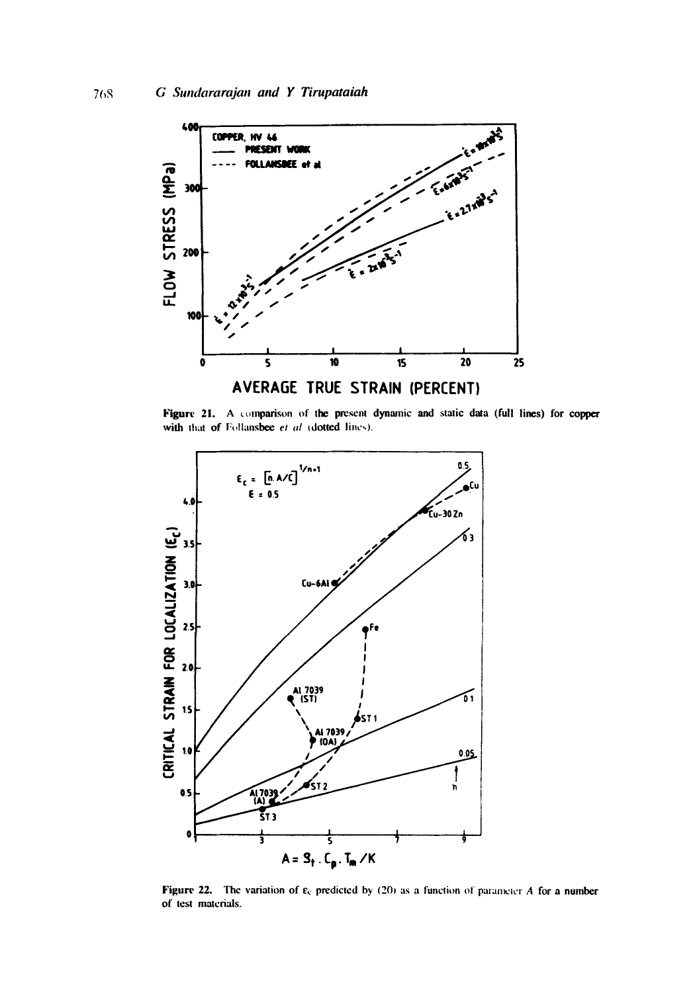

Figure 21. A comparison of the present dynamic and static data (full lines) for copper with that of Follansbee et al *c*dotted lines).



Figure 22. The variation of  $\varepsilon_c$  predicted by (20) as a function of parameter A for a number of test materials.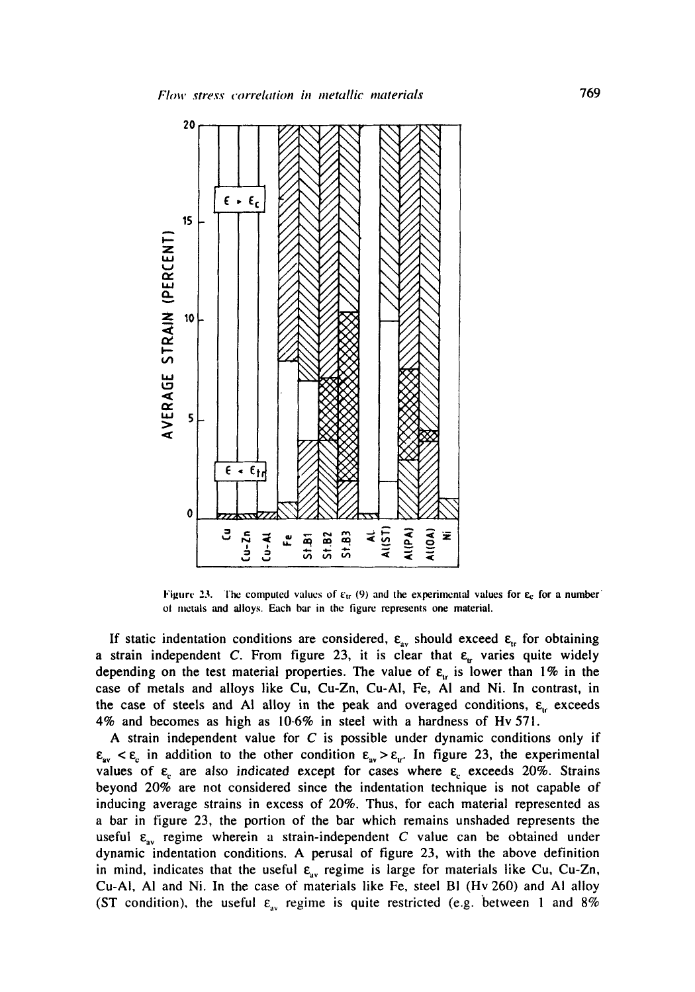

Figure 23. The computed values of  $\varepsilon_{tr}$  (9) and the experimental values for  $\varepsilon_{c}$  for a number ol metals and alloys. Each bar in the tigure represents one material.

If static indentation conditions are considered,  $\epsilon_{av}$  should exceed  $\epsilon_{tr}$  for obtaining a strain independent C. From figure 23, it is clear that  $\varepsilon_{tr}$  varies quite widely depending on the test material properties. The value of  $\varepsilon_{tr}$  is lower than 1% in the case of metals and alloys like Cu, Cu-Zn, Cu-AI, Fe, AI and Ni. In contrast, in the case of steels and Al alloy in the peak and overaged conditions,  $\varepsilon_{\text{L}}$  exceeds 4% and becomes as high as 10.6% in steel with a hardness of Hv 571.

A strain independent value for  $C$  is possible under dynamic conditions only if  $\epsilon_{av} < \epsilon_c$  in addition to the other condition  $\epsilon_{av} > \epsilon_{ur}$ . In figure 23, the experimental values of  $\varepsilon_c$  are also indicated except for cases where  $\varepsilon_c$  exceeds 20%. Strains beyond 20% are not considered since the indentation technique is not capable of inducing average strains in excess of 20%. Thus, for each material represented as a bar in figure 23, the portion of the bar which remains unshaded represents the useful  $\varepsilon_{av}$  regime wherein a strain-independent C value can be obtained under dynamic indentation conditions. A perusal of figure 23, with the above definition in mind, indicates that the useful  $\varepsilon_{av}$  regime is large for materials like Cu, Cu-Zn, Cu-AI, AI and Ni. In the case of materials like Fe, steel BI (Hv 260) and AI alloy (ST condition), the useful  $\varepsilon_{av}$  regime is quite restricted (e.g. between 1 and 8%)